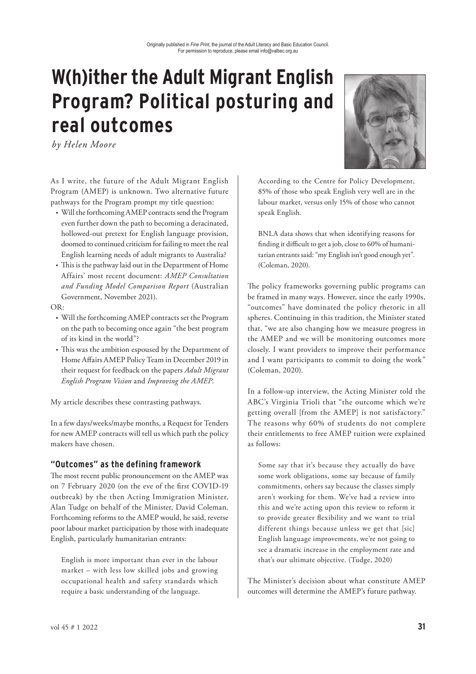# **W(h)ither the Adult Migrant English Program? Political posturing and real outcomes**

*by Helen Moore*

As I write, the future of the Adult Migrant English Program (AMEP) is unknown. Two alternative future pathways for the Program prompt my title question:

- Will the forthcoming AMEP contracts send the Program even further down the path to becoming a deracinated, hollowed-out pretext for English language provision, doomed to continued criticism for failing to meet the real English learning needs of adult migrants to Australia?
- This is the pathway laid out in the Department of Home Affairs' most recent document: *AMEP Consultation and Funding Model Comparison Report* (Australian Government, November 2021).

#### OR:

- Will the forthcoming AMEP contracts set the Program on the path to becoming once again "the best program of its kind in the world"?
- This was the ambition espoused by the Department of Home Affairs AMEP Policy Team in December 2019 in their request for feedback on the papers *Adult Migrant English Program Vision* and *Improving the AMEP*.

My article describes these contrasting pathways.

In a few days/weeks/maybe months, a Request for Tenders for new AMEP contracts will tell us which path the policy makers have chosen.

# **"Outcomes" as the defining framework**

The most recent public pronouncement on the AMEP was on 7 February 2020 (on the eve of the first COVID-19 outbreak) by the then Acting Immigration Minister, Alan Tudge on behalf of the Minister, David Coleman. Forthcoming reforms to the AMEP would, he said, reverse poor labour market participation by those with inadequate English, particularly humanitarian entrants:

English is more important than ever in the labour market – with less low skilled jobs and growing occupational health and safety standards which require a basic understanding of the language.



According to the Centre for Policy Development, 85% of those who speak English very well are in the labour market, versus only 15% of those who cannot speak English.

BNLA data shows that when identifying reasons for finding it difficult to get a job, close to 60% of humanitarian entrants said: "my English isn't good enough yet". (Coleman, 2020).

The policy frameworks governing public programs can be framed in many ways. However, since the early 1990s, "outcomes" have dominated the policy rhetoric in all spheres. Continuing in this tradition, the Minister stated that, "we are also changing how we measure progress in the AMEP and we will be monitoring outcomes more closely. I want providers to improve their performance and I want participants to commit to doing the work" (Coleman, 2020).

In a follow-up interview, the Acting Minister told the ABC's Virginia Trioli that "the outcome which we're getting overall [from the AMEP] is not satisfactory." The reasons why 60% of students do not complete their entitlements to free AMEP tuition were explained as follows:

Some say that it's because they actually do have some work obligations, some say because of family commitments, others say because the classes simply aren't working for them. We've had a review into this and we're acting upon this review to reform it to provide greater flexibility and we want to trial different things because unless we get that [sic] English language improvements, we're not going to see a dramatic increase in the employment rate and that's our ultimate objective. (Tudge, 2020)

The Minister's decision about what constitute AMEP outcomes will determine the AMEP's future pathway.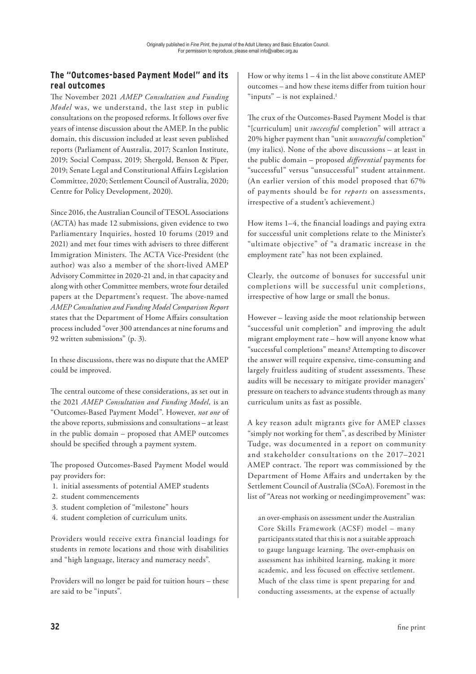# **The "Outcomes-based Payment Model" and its real outcomes**

The November 2021 AMEP Consultation and Funding *Model* was, we understand, the last step in public consultations on the proposed reforms. It follows over five years of intense discussion about the AMEP. In the public domain, this discussion included at least seven published reports (Parliament of Australia, 2017; Scanlon Institute, 2019; Social Compass, 2019; Shergold, Benson & Piper, 2019; Senate Legal and Constitutional Affairs Legislation Committee, 2020; Settlement Council of Australia, 2020; Centre for Policy Development, 2020).

Since 2016, the Australian Council of TESOL Associations (ACTA) has made 12 submissions, given evidence to two Parliamentary Inquiries, hosted 10 forums (2019 and 2021) and met four times with advisers to three different Immigration Ministers. The ACTA Vice-President (the author) was also a member of the short-lived AMEP Advisory Committee in 2020-21 and, in that capacity and along with other Committee members, wrote four detailed papers at the Department's request. The above-named *AMEP Consultation and Funding Model Comparison Report*  states that the Department of Home Affairs consultation process included "over 300 attendances at nine forums and 92 written submissions" (p. 3).

In these discussions, there was no dispute that the AMEP could be improved.

The central outcome of these considerations, as set out in the 2021 *AMEP Consultation and Funding Model,* is an "Outcomes-Based Payment Model". However, *not one* of the above reports, submissions and consultations – at least in the public domain – proposed that AMEP outcomes should be specified through a payment system.

The proposed Outcomes-Based Payment Model would pay providers for:

- 1. initial assessments of potential AMEP students
- 2. student commencements
- 3. student completion of "milestone" hours
- 4. student completion of curriculum units.

Providers would receive extra financial loadings for students in remote locations and those with disabilities and "high language, literacy and numeracy needs".

Providers will no longer be paid for tuition hours – these are said to be "inputs".

How or why items  $1 - 4$  in the list above constitute  $AMEP$ outcomes - and how these items differ from tuition hour "inputs" – is not explained. $1$ 

The crux of the Outcomes-Based Payment Model is that "[curriculum] unit *successful* completion" will attract a 20% higher payment than "unit *unsuccessful* completion" (my italics). None of the above discussions – at least in the public domain – proposed *di!erential* payments for "successful" versus "unsuccessful" student attainment. (An earlier version of this model proposed that 67% of payments should be for *reports* on assessments, irrespective of a student's achievement.)

How items 1-4, the financial loadings and paying extra for successful unit completions relate to the Minister's "ultimate objective" of "a dramatic increase in the employment rate" has not been explained.

Clearly, the outcome of bonuses for successful unit completions will be successful unit completions, irrespective of how large or small the bonus.

However – leaving aside the moot relationship between "successful unit completion" and improving the adult migrant employment rate – how will anyone know what "successful completions" means? Attempting to discover the answer will require expensive, time-consuming and largely fruitless auditing of student assessments. These audits will be necessary to mitigate provider managers' pressure on teachers to advance students through as many curriculum units as fast as possible.

A key reason adult migrants give for AMEP classes "simply not working for them", as described by Minister Tudge, was documented in a report on community and stakeholder consultations on the 2017–2021 AMEP contract. The report was commissioned by the Department of Home Affairs and undertaken by the Settlement Council of Australia (SCoA). Foremost in the list of "Areas not working or needingimprovement" was:

an over-emphasis on assessment under the Australian Core Skills Framework (ACSF) model – many participants stated that this is not a suitable approach to gauge language learning. The over-emphasis on assessment has inhibited learning, making it more academic, and less focused on effective settlement. Much of the class time is spent preparing for and conducting assessments, at the expense of actually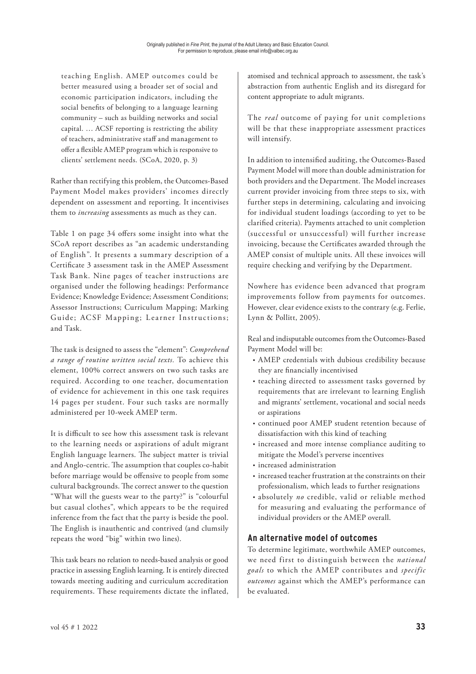teaching English. A MEP outcomes could be better measured using a broader set of social and economic participation indicators, including the social benefits of belonging to a language learning community – such as building networks and social capital. … ACSF reporting is restricting the ability of teachers, administrative staff and management to offer a flexible AMEP program which is responsive to clients' settlement needs. (SCoA, 2020, p. 3)

Rather than rectifying this problem, the Outcomes-Based Payment Model makes providers' incomes directly dependent on assessment and reporting. It incentivises them to *increasing* assessments as much as they can.

Table 1 on page 34 offers some insight into what the SCoA report describes as "an academic understanding of English". It presents a summary description of a Certificate 3 assessment task in the AMEP Assessment Task Bank. Nine pages of teacher instructions are organised under the following headings: Performance Evidence; Knowledge Evidence; Assessment Conditions; Assessor Instructions; Curriculum Mapping; Marking Guide; ACSF Mapping; Learner Instructions; and Task.

The task is designed to assess the "element": *Comprehend a range of routine written social texts.* To achieve this element, 100% correct answers on two such tasks are required. According to one teacher, documentation of evidence for achievement in this one task requires 14 pages per student. Four such tasks are normally administered per 10-week AMEP term.

It is difficult to see how this assessment task is relevant to the learning needs or aspirations of adult migrant English language learners. The subject matter is trivial and Anglo-centric. The assumption that couples co-habit before marriage would be offensive to people from some cultural backgrounds. The correct answer to the question "What will the guests wear to the party?" is "colourful but casual clothes", which appears to be the required inference from the fact that the party is beside the pool. The English is inauthentic and contrived (and clumsily repeats the word "big" within two lines).

This task bears no relation to needs-based analysis or good practice in assessing English learning. It is entirely directed towards meeting auditing and curriculum accreditation requirements. These requirements dictate the inflated, atomised and technical approach to assessment, the task's abstraction from authentic English and its disregard for content appropriate to adult migrants.

The *real* outcome of paying for unit completions will be that these inappropriate assessment practices will intensify.

In addition to intensified auditing, the Outcomes-Based Payment Model will more than double administration for both providers and the Department. The Model increases current provider invoicing from three steps to six, with further steps in determining, calculating and invoicing for individual student loadings (according to yet to be clarified criteria). Payments attached to unit completion (successful or unsuccessful) will further increase invoicing, because the Certificates awarded through the AMEP consist of multiple units. All these invoices will require checking and verifying by the Department.

Nowhere has evidence been advanced that program improvements follow from payments for outcomes. However, clear evidence exists to the contrary (e.g. Ferlie, Lynn & Pollitt, 2005).

Real and indisputable outcomes from the Outcomes-Based Payment Model will be:

- AMEP credentials with dubious credibility because they are financially incentivised
- teaching directed to assessment tasks governed by requirements that are irrelevant to learning English and migrants' settlement, vocational and social needs or aspirations
- continued poor AMEP student retention because of dissatisfaction with this kind of teaching
- increased and more intense compliance auditing to mitigate the Model's perverse incentives
- increased administration
- increased teacher frustration at the constraints on their professionalism, which leads to further resignations
- absolutely *no* credible, valid or reliable method for measuring and evaluating the performance of individual providers or the AMEP overall.

# **An alternative model of outcomes**

To determine legitimate, worthwhile AMEP outcomes, we need first to distinguish between the *national goals* to which the AMEP contributes and *specific outcomes* against which the AMEP's performance can be evaluated.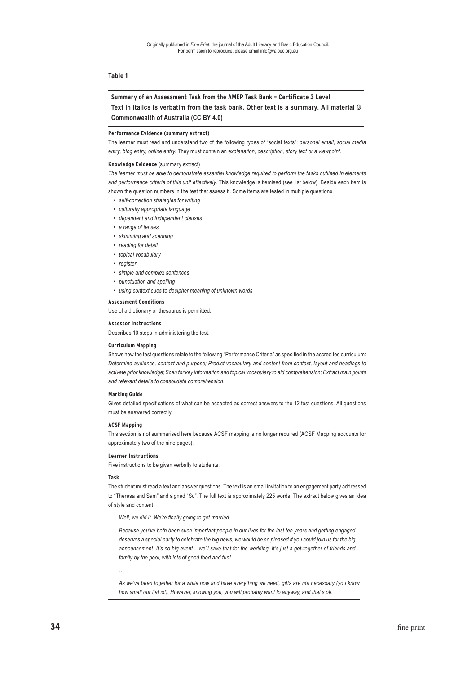#### **Table 1**

## **Summary of an Assessment Task from the AMEP Task Bank – Certificate 3 Level Text in italics is verbatim from the task bank. Other text is a summary. All material © Commonwealth of Australia (CC BY 4.0)**

#### **Performance Evidence (summary extract)**

The learner must read and understand two of the following types of "social texts": *personal email, social media entry, blog entry, online entry*. They must contain an *explanation, description, story text or a viewpoint.*

#### **Knowledge Evidence** (summary extract)

*The learner must be able to demonstrate essential knowledge required to perform the tasks outlined in elements and performance criteria of this unit effectively.* This knowledge is itemised (see list below). Beside each item is shown the question numbers in the test that assess it. Some items are tested in multiple questions.

- *• self-correction strategies for writing*
- *• culturally appropriate language*
- *• dependent and independent clauses*
- *• a range of tenses*
- *• skimming and scanning*
- *• reading for detail*
- *• topical vocabulary*
- *• register*
- *• simple and complex sentences*
- *• punctuation and spelling*
- *• using context cues to decipher meaning of unknown words*

#### **Assessment Conditions**

Use of a dictionary or thesaurus is permitted.

#### **Assessor Instructions**

Describes 10 steps in administering the test.

#### **Curriculum Mapping**

Shows how the test questions relate to the following "Performance Criteria" as specified in the accredited curriculum: *Determine audience, context and purpose; Predict vocabulary and content from context, layout and headings to activate prior knowledge; Scan for key information and topical vocabulary to aid comprehension; Extract main points and relevant details to consolidate comprehension.*

#### **Marking Guide**

Gives detailed specifications of what can be accepted as correct answers to the 12 test questions. All questions must be answered correctly.

#### **ACSF Mapping**

This section is not summarised here because ACSF mapping is no longer required (ACSF Mapping accounts for approximately two of the nine pages).

#### **Learner Instructions**

Five instructions to be given verbally to students.

#### **Task**

*…*

The student must read a text and answer questions. The text is an email invitation to an engagement party addressed to "Theresa and Sam" and signed "Su". The full text is approximately 225 words. The extract below gives an idea of style and content:

*Well, we did it. We're finally going to get married.* 

*Because you've both been such important people in our lives for the last ten years and getting engaged deserves a special party to celebrate the big news, we would be so pleased if you could join us for the big announcement. It's no big event – we'll save that for the wedding. It's just a get-together of friends and family by the pool, with lots of good food and fun!*

*As we've been together for a while now and have everything we need, gifts are not necessary (you know*  how small our flat is!). However, knowing you, you will probably want to anyway, and that's ok.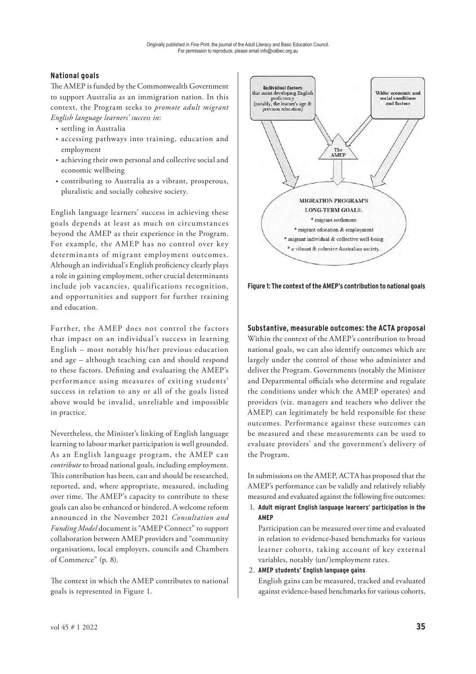## **National goals**

The AMEP is funded by the Commonwealth Government to support Australia as an immigration nation. In this context, the Program seeks to *promote adult migrant English language learners' success in*:

- settling in Australia
- accessing pathways into training, education and employment
- achieving their own personal and collective social and economic wellbeing
- contributing to Australia as a vibrant, prosperous, pluralistic and socially cohesive society.

English language learners' success in achieving these goals depends at least as much on circumstances beyond the AMEP as their experience in the Program. For example, the AMEP has no control over key determinants of migrant employment outcomes. Although an individual's English proficiency clearly plays a role in gaining employment, other crucial determinants include job vacancies, qualifications recognition, and opportunities and support for further training and education.

Further, the AMEP does not control the factors that impact on an individual's success in learning English – most notably his/her previous education and age – although teaching can and should respond to these factors. Defining and evaluating the AMEP's performance using measures of exiting students' success in relation to any or all of the goals listed above would be invalid, unreliable and impossible in practice.

Nevertheless, the Minister's linking of English language learning to labour market participation is well grounded. As an English language program, the AMEP can *contribute* to broad national goals, including employment. This contribution has been, can and should be researched, reported, and, where appropriate, measured, including over time. The AMEP's capacity to contribute to these goals can also be enhanced or hindered. A welcome reform announced in the November 2021 *Consultation and Funding Model* document is "AMEP Connect" to support collaboration between AMEP providers and "community organisations, local employers, councils and Chambers of Commerce" (p. 8).

The context in which the AMEP contributes to national goals is represented in Figure 1.



**Figure 1: The context of the AMEP's contribution to national goals**

## **Substantive, measurable outcomes: the ACTA proposal**

Within the context of the AMEP's contribution to broad national goals, we can also identify outcomes which are largely under the control of those who administer and deliver the Program. Governments (notably the Minister and Departmental officials who determine and regulate the conditions under which the AMEP operates) and providers (viz. managers and teachers who deliver the AMEP) can legitimately be held responsible for these outcomes. Performance against these outcomes can be measured and these measurements can be used to evaluate providers' and the government's delivery of the Program.

In submissions on the AMEP, ACTA has proposed that the AMEP's performance can be validly and relatively reliably measured and evaluated against the following five outcomes:

1. **Adult migrant English language learners' participation in the AMEP**

 Participation can be measured over time and evaluated in relation to evidence-based benchmarks for various learner cohorts, taking account of key external variables, notably (un/)employment rates.

2. **AMEP students' English language gains**

 English gains can be measured, tracked and evaluated against evidence-based benchmarks for various cohorts,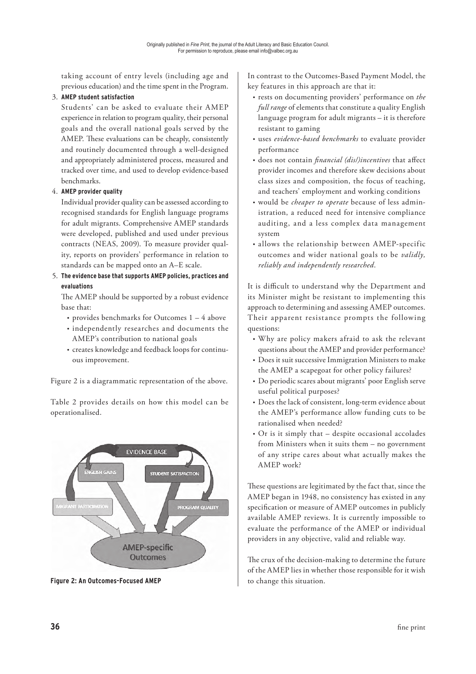taking account of entry levels (including age and previous education) and the time spent in the Program.

#### 3. **AMEP student satisfaction**

 Students' can be asked to evaluate their AMEP experience in relation to program quality, their personal goals and the overall national goals served by the AMEP. These evaluations can be cheaply, consistently and routinely documented through a well-designed and appropriately administered process, measured and tracked over time, and used to develop evidence-based benchmarks.

## 4. **AMEP provider quality**

 Individual provider quality can be assessed according to recognised standards for English language programs for adult migrants. Comprehensive AMEP standards were developed, published and used under previous contracts (NEAS, 2009). To measure provider quality, reports on providers' performance in relation to standards can be mapped onto an A–E scale.

5. **The evidence base that supports AMEP policies, practices and evaluations**

The AMEP should be supported by a robust evidence base that:

- provides benchmarks for Outcomes 1 4 above
- independently researches and documents the AMEP's contribution to national goals
- creates knowledge and feedback loops for continuous improvement.

Figure 2 is a diagrammatic representation of the above.

Table 2 provides details on how this model can be operationalised.



**Figure 2: An Outcomes-Focused AMEP** to change this situation.

In contrast to the Outcomes-Based Payment Model, the key features in this approach are that it:

- rests on documenting providers' performance on *the full range* of elements that constitute a quality English language program for adult migrants – it is therefore resistant to gaming
- uses *evidence-based benchmarks* to evaluate provider performance
- does not contain *financial (dis/)incentives* that affect provider incomes and therefore skew decisions about class sizes and composition, the focus of teaching, and teachers' employment and working conditions
- would be *cheaper to operate* because of less administration, a reduced need for intensive compliance auditing, and a less complex data management system
- allows the relationship between AMEP-specific outcomes and wider national goals to be *validly, reliably and independently researched*.

It is difficult to understand why the Department and its Minister might be resistant to implementing this approach to determining and assessing AMEP outcomes. Their apparent resistance prompts the following questions:

- Why are policy makers afraid to ask the relevant questions about the AMEP and provider performance?
- Does it suit successive Immigration Ministers to make the AMEP a scapegoat for other policy failures?
- Do periodic scares about migrants' poor English serve useful political purposes?
- Does the lack of consistent, long-term evidence about the AMEP's performance allow funding cuts to be rationalised when needed?
- Or is it simply that despite occasional accolades from Ministers when it suits them – no government of any stripe cares about what actually makes the AMEP work?

These questions are legitimated by the fact that, since the AMEP began in 1948, no consistency has existed in any specification or measure of AMEP outcomes in publicly available AMEP reviews. It is currently impossible to evaluate the performance of the AMEP or individual providers in any objective, valid and reliable way.

The crux of the decision-making to determine the future of the AMEP lies in whether those responsible for it wish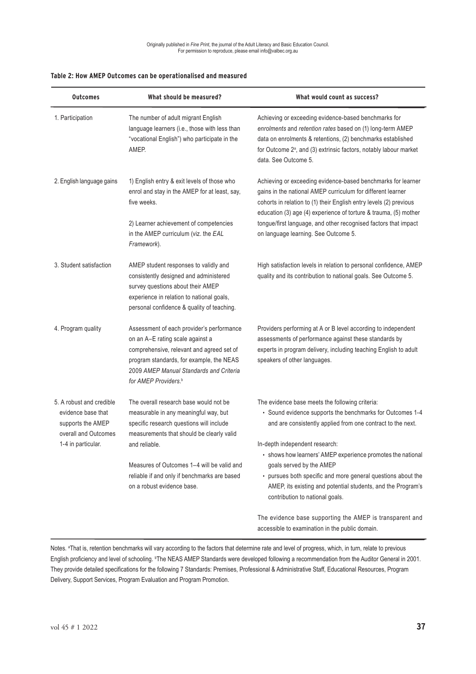| <b>Outcomes</b>                                                                                                   | What should be measured?                                                                                                                                                                                                                              | What would count as success?                                                                                                                                                                                                                                                                                                                                                     |
|-------------------------------------------------------------------------------------------------------------------|-------------------------------------------------------------------------------------------------------------------------------------------------------------------------------------------------------------------------------------------------------|----------------------------------------------------------------------------------------------------------------------------------------------------------------------------------------------------------------------------------------------------------------------------------------------------------------------------------------------------------------------------------|
| 1. Participation                                                                                                  | The number of adult migrant English<br>language learners (i.e., those with less than<br>"vocational English") who participate in the<br>AMEP.                                                                                                         | Achieving or exceeding evidence-based benchmarks for<br>enrolments and retention rates based on (1) long-term AMEP<br>data on enrolments & retentions, (2) benchmarks established<br>for Outcome 2 <sup>a</sup> , and (3) extrinsic factors, notably labour market<br>data. See Outcome 5.                                                                                       |
| 2. English language gains                                                                                         | 1) English entry & exit levels of those who<br>enrol and stay in the AMEP for at least, say,<br>five weeks.<br>2) Learner achievement of competencies<br>in the AMEP curriculum (viz. the EAL<br>Framework).                                          | Achieving or exceeding evidence-based benchmarks for learner<br>gains in the national AMEP curriculum for different learner<br>cohorts in relation to (1) their English entry levels (2) previous<br>education (3) age (4) experience of torture & trauma, (5) mother<br>tongue/first language, and other recognised factors that impact<br>on language learning. See Outcome 5. |
| 3. Student satisfaction                                                                                           | AMEP student responses to validly and<br>consistently designed and administered<br>survey questions about their AMEP<br>experience in relation to national goals,<br>personal confidence & quality of teaching.                                       | High satisfaction levels in relation to personal confidence, AMEP<br>quality and its contribution to national goals. See Outcome 5.                                                                                                                                                                                                                                              |
| 4. Program quality                                                                                                | Assessment of each provider's performance<br>on an A-E rating scale against a<br>comprehensive, relevant and agreed set of<br>program standards, for example, the NEAS<br>2009 AMEP Manual Standards and Criteria<br>for AMEP Providers. <sup>b</sup> | Providers performing at A or B level according to independent<br>assessments of performance against these standards by<br>experts in program delivery, including teaching English to adult<br>speakers of other languages.                                                                                                                                                       |
| 5. A robust and credible<br>evidence base that<br>supports the AMEP<br>overall and Outcomes<br>1-4 in particular. | The overall research base would not be<br>measurable in any meaningful way, but<br>specific research questions will include<br>measurements that should be clearly valid                                                                              | The evidence base meets the following criteria:<br>• Sound evidence supports the benchmarks for Outcomes 1-4<br>and are consistently applied from one contract to the next.                                                                                                                                                                                                      |
|                                                                                                                   | and reliable.<br>Measures of Outcomes 1-4 will be valid and<br>reliable if and only if benchmarks are based<br>on a robust evidence base.                                                                                                             | In-depth independent research:<br>• shows how learners' AMEP experience promotes the national<br>goals served by the AMEP<br>• pursues both specific and more general questions about the<br>AMEP, its existing and potential students, and the Program's<br>contribution to national goals.                                                                                     |
|                                                                                                                   |                                                                                                                                                                                                                                                       | The evidence base supporting the AMEP is transparent and<br>accessible to examination in the public domain.                                                                                                                                                                                                                                                                      |

## **Table 2: How AMEP Outcomes can be operationalised and measured**

Notes. <sup>a</sup>That is, retention benchmarks will vary according to the factors that determine rate and level of progress, which, in turn, relate to previous English proficiency and level of schooling. <sup>b</sup>The NEAS AMEP Standards were developed following a recommendation from the Auditor General in 2001. They provide detailed specifications for the following 7 Standards: Premises, Professional & Administrative Staff, Educational Resources, Program Delivery, Support Services, Program Evaluation and Program Promotion.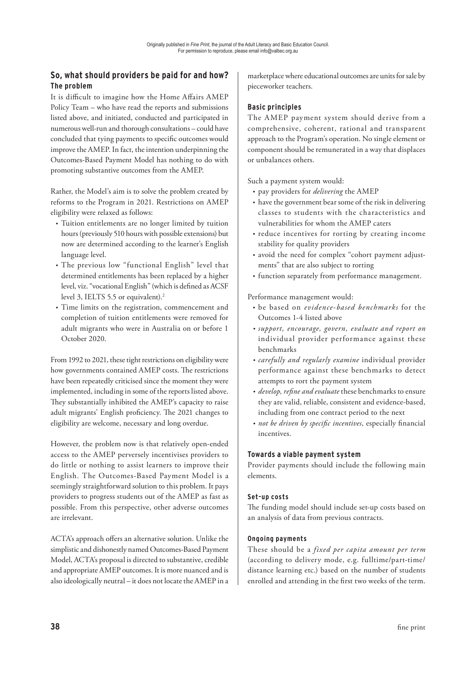# **So, what should providers be paid for and how? The problem**

It is difficult to imagine how the Home Affairs AMEP Policy Team – who have read the reports and submissions listed above, and initiated, conducted and participated in numerous well-run and thorough consultations – could have concluded that tying payments to specific outcomes would improve the AMEP. In fact, the intention underpinning the Outcomes-Based Payment Model has nothing to do with promoting substantive outcomes from the AMEP.

Rather, the Model's aim is to solve the problem created by reforms to the Program in 2021. Restrictions on AMEP eligibility were relaxed as follows:

- Tuition entitlements are no longer limited by tuition hours (previously 510 hours with possible extensions) but now are determined according to the learner's English language level.
- The previous low "functional English" level that determined entitlements has been replaced by a higher level, viz. "vocational English" (which is defined as ACSF level 3, IELTS 5.5 or equivalent).<sup>2</sup>
- Time limits on the registration, commencement and completion of tuition entitlements were removed for adult migrants who were in Australia on or before 1 October 2020.

From 1992 to 2021, these tight restrictions on eligibility were how governments contained AMEP costs. The restrictions have been repeatedly criticised since the moment they were implemented, including in some of the reports listed above. They substantially inhibited the AMEP's capacity to raise adult migrants' English proficiency. The 2021 changes to eligibility are welcome, necessary and long overdue.

However, the problem now is that relatively open-ended access to the AMEP perversely incentivises providers to do little or nothing to assist learners to improve their English. The Outcomes-Based Payment Model is a seemingly straightforward solution to this problem. It pays providers to progress students out of the AMEP as fast as possible. From this perspective, other adverse outcomes are irrelevant.

ACTA's approach offers an alternative solution. Unlike the simplistic and dishonestly named Outcomes-Based Payment Model, ACTA's proposal is directed to substantive, credible and appropriate AMEP outcomes. It is more nuanced and is also ideologically neutral – it does not locate the AMEP in a marketplace where educational outcomes are units for sale by pieceworker teachers.

# **Basic principles**

The AMEP payment system should derive from a comprehensive, coherent, rational and transparent approach to the Program's operation. No single element or component should be remunerated in a way that displaces or unbalances others.

Such a payment system would:

- pay providers for *delivering* the AMEP
- have the government bear some of the risk in delivering classes to students with the characteristics and vulnerabilities for whom the AMEP caters
- reduce incentives for rorting by creating income stability for quality providers
- avoid the need for complex "cohort payment adjustments" that are also subject to rorting
- function separately from performance management.

#### Performance management would:

- be based on *evidence-based benchmarks* for the Outcomes 1-4 listed above
- *• support, encourage, govern, evaluate and report on* individual provider performance against these benchmarks
- *• carefully and regularly examine* individual provider performance against these benchmarks to detect attempts to rort the payment system
- *• develop, re"ne and evaluate* these benchmarks to ensure they are valid, reliable, consistent and evidence-based, including from one contract period to the next
- *not be driven by specific incentives*, especially financial incentives.

## **Towards a viable payment system**

Provider payments should include the following main elements.

## **Set-up costs**

The funding model should include set-up costs based on an analysis of data from previous contracts.

## **Ongoing payments**

These should be a *fixed per capita amount per term* (according to delivery mode, e.g. fulltime/part-time/ distance learning etc.) based on the number of students enrolled and attending in the first two weeks of the term.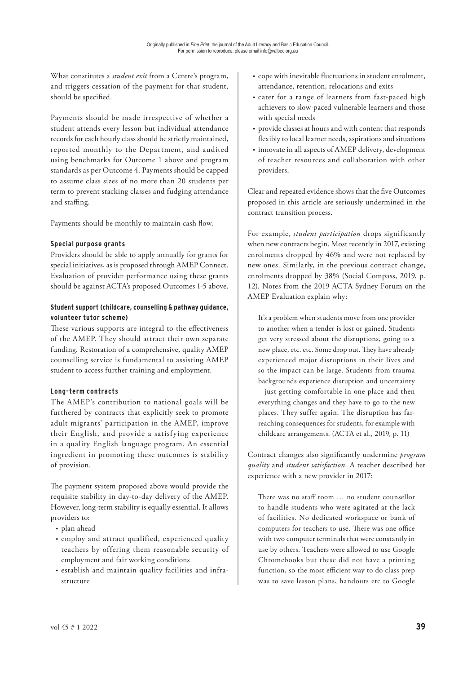What constitutes a *student exit* from a Centre's program, and triggers cessation of the payment for that student, should be specified.

Payments should be made irrespective of whether a student attends every lesson but individual attendance records for each hourly class should be strictly maintained, reported monthly to the Department, and audited using benchmarks for Outcome 1 above and program standards as per Outcome 4. Payments should be capped to assume class sizes of no more than 20 students per term to prevent stacking classes and fudging attendance and staffing.

Payments should be monthly to maintain cash flow.

#### **Special purpose grants**

Providers should be able to apply annually for grants for special initiatives, as is proposed through AMEP Connect. Evaluation of provider performance using these grants should be against ACTA's proposed Outcomes 1-5 above.

## **Student support (childcare, counselling & pathway guidance, volunteer tutor scheme)**

These various supports are integral to the effectiveness of the AMEP. They should attract their own separate funding. Restoration of a comprehensive, quality AMEP counselling service is fundamental to assisting AMEP student to access further training and employment.

## **Long-term contracts**

The AMEP's contribution to national goals will be furthered by contracts that explicitly seek to promote adult migrants' participation in the AMEP, improve their English, and provide a satisfying experience in a quality English language program. An essential ingredient in promoting these outcomes is stability of provision.

The payment system proposed above would provide the requisite stability in day-to-day delivery of the AMEP. However, long-term stability is equally essential. It allows providers to:

- plan ahead
- employ and attract qualified, experienced quality teachers by offering them reasonable security of employment and fair working conditions
- establish and maintain quality facilities and infrastructure
- cope with inevitable fluctuations in student enrolment, attendance, retention, relocations and exits
- cater for a range of learners from fast-paced high achievers to slow-paced vulnerable learners and those with special needs
- provide classes at hours and with content that responds flexibly to local learner needs, aspirations and situations
- innovate in all aspects of AMEP delivery, development of teacher resources and collaboration with other providers.

Clear and repeated evidence shows that the five Outcomes proposed in this article are seriously undermined in the contract transition process.

For example, *student participation* drops significantly when new contracts begin. Most recently in 2017, existing enrolments dropped by 46% and were not replaced by new ones. Similarly, in the previous contract change, enrolments dropped by 38% (Social Compass, 2019, p. 12). Notes from the 2019 ACTA Sydney Forum on the AMEP Evaluation explain why:

It's a problem when students move from one provider to another when a tender is lost or gained. Students get very stressed about the disruptions, going to a new place, etc. etc. Some drop out. They have already experienced major disruptions in their lives and so the impact can be large. Students from trauma backgrounds experience disruption and uncertainty – just getting comfortable in one place and then everything changes and they have to go to the new places. They suffer again. The disruption has farreaching consequences for students, for example with childcare arrangements. (ACTA et al., 2019, p. 11)

Contract changes also significantly undermine *program quality* and *student satisfaction*. A teacher described her experience with a new provider in 2017:

There was no staff room  $\ldots$  no student counsellor to handle students who were agitated at the lack of facilities. No dedicated workspace or bank of computers for teachers to use. There was one office with two computer terminals that were constantly in use by others. Teachers were allowed to use Google Chromebooks but these did not have a printing function, so the most efficient way to do class prep was to save lesson plans, handouts etc to Google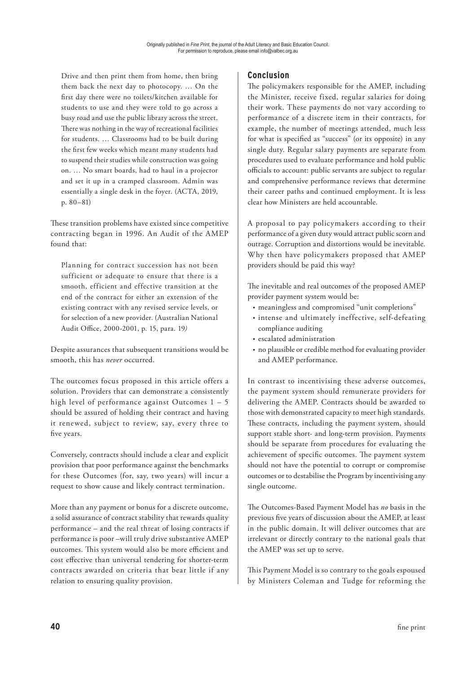Drive and then print them from home, then bring them back the next day to photocopy. … On the first day there were no toilets/kitchen available for students to use and they were told to go across a busy road and use the public library across the street. There was nothing in the way of recreational facilities for students. … Classrooms had to be built during the first few weeks which meant many students had to suspend their studies while construction was going on. … No smart boards, had to haul in a projector and set it up in a cramped classroom. Admin was essentially a single desk in the foyer. (ACTA, 2019, p. 80–81)

These transition problems have existed since competitive contracting began in 1996. An Audit of the AMEP found that:

Planning for contract succession has not been sufficient or adequate to ensure that there is a smooth, efficient and effective transition at the end of the contract for either an extension of the existing contract with any revised service levels, or for selection of a new provider. (Australian National Audit Office, 2000-2001, p. 15, para. 19)

Despite assurances that subsequent transitions would be smooth, this has *never* occurred.

The outcomes focus proposed in this article offers a solution. Providers that can demonstrate a consistently high level of performance against Outcomes  $1 - 5$ should be assured of holding their contract and having it renewed, subject to review, say, every three to five years.

Conversely, contracts should include a clear and explicit provision that poor performance against the benchmarks for these Outcomes (for, say, two years) will incur a request to show cause and likely contract termination.

More than any payment or bonus for a discrete outcome, a solid assurance of contract stability that rewards quality performance – and the real threat of losing contracts if performance is poor –will truly drive substantive AMEP outcomes. This system would also be more efficient and cost effective than universal tendering for shorter-term contracts awarded on criteria that bear little if any relation to ensuring quality provision.

# **Conclusion**

The policymakers responsible for the AMEP, including the Minister, receive fixed, regular salaries for doing their work. These payments do not vary according to performance of a discrete item in their contracts, for example, the number of meetings attended, much less for what is specified as "success" (or its opposite) in any single duty. Regular salary payments are separate from procedures used to evaluate performance and hold public officials to account: public servants are subject to regular and comprehensive performance reviews that determine their career paths and continued employment. It is less clear how Ministers are held accountable.

A proposal to pay policymakers according to their performance of a given duty would attract public scorn and outrage. Corruption and distortions would be inevitable. Why then have policymakers proposed that AMEP providers should be paid this way?

The inevitable and real outcomes of the proposed AMEP provider payment system would be:

- meaningless and compromised "unit completions"
- intense and ultimately ineffective, self-defeating compliance auditing
- escalated administration
- no plausible or credible method for evaluating provider and AMEP performance.

In contrast to incentivising these adverse outcomes, the payment system should remunerate providers for delivering the AMEP. Contracts should be awarded to those with demonstrated capacity to meet high standards. These contracts, including the payment system, should support stable short- and long-term provision. Payments should be separate from procedures for evaluating the achievement of specific outcomes. The payment system should not have the potential to corrupt or compromise outcomes or to destabilise the Program by incentivising any single outcome.

The Outcomes-Based Payment Model has *no* basis in the previous five years of discussion about the AMEP, at least in the public domain. It will deliver outcomes that are irrelevant or directly contrary to the national goals that the AMEP was set up to serve.

This Payment Model is so contrary to the goals espoused by Ministers Coleman and Tudge for reforming the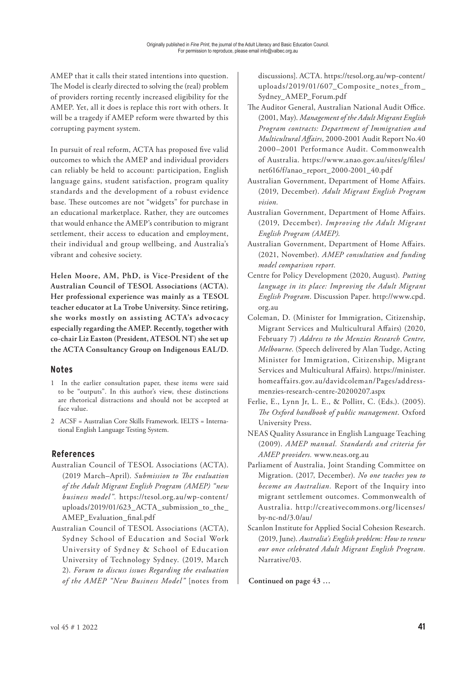AMEP that it calls their stated intentions into question. The Model is clearly directed to solving the (real) problem of providers rorting recently increased eligibility for the AMEP. Yet, all it does is replace this rort with others. It will be a tragedy if AMEP reform were thwarted by this corrupting payment system.

In pursuit of real reform, ACTA has proposed five valid outcomes to which the AMEP and individual providers can reliably be held to account: participation, English language gains, student satisfaction, program quality standards and the development of a robust evidence base. These outcomes are not "widgets" for purchase in an educational marketplace. Rather, they are outcomes that would enhance the AMEP's contribution to migrant settlement, their access to education and employment, their individual and group wellbeing, and Australia's vibrant and cohesive society.

**Helen Moore, AM, PhD, is Vice-President of the Australian Council of TESOL Associations (ACTA). Her professional experience was mainly as a TESOL teacher educator at La Trobe University. Since retiring, she works mostly on assisting ACTA's advocacy especially regarding the AMEP. Recently, together with co-chair Liz Easton (President, ATESOL NT) she set up the ACTA Consultancy Group on Indigenous EAL/D.**

# **Notes**

- 1 In the earlier consultation paper, these items were said to be "outputs". In this author's view, these distinctions are rhetorical distractions and should not be accepted at face value.
- 2 ACSF = Australian Core Skills Framework. IELTS = International English Language Testing System.

# **References**

- Australian Council of TESOL Associations (ACTA). (2019 March–April). Submission to The evaluation *of the Adult Migrant English Program (AMEP) "new business model".* https://tesol.org.au/wp-content/ uploads/2019/01/623\_ACTA\_submission\_to\_the\_ AMEP\_Evaluation\_final.pdf
- Australian Council of TESOL Associations (ACTA), Sydney School of Education and Social Work University of Sydney & School of Education University of Technology Sydney. (2019, March 2). *Forum to discuss issues Regarding the evaluation of the AMEP "New Business Model"* [notes from | Continued on page 43 ...

discussions]. ACTA. https://tesol.org.au/wp-content/ uploads/2019/01/607\_Composite\_notes\_from\_ Sydney\_AMEP\_Forum.pdf

- The Auditor General, Australian National Audit Office. (2001, May). *Management of the Adult Migrant English Program contracts: Department of Immigration and Multicultural A!airs*, 2000-2001 Audit Report No.40 2000–2001 Performance Audit. Commonwealth of Australia. https://www.anao.gov.au/sites/g/files/ net616/f/anao\_report\_2000-2001\_40.pdf
- Australian Government, Department of Home Affairs. (2019, December). *Adult Migrant English Program vision.*
- Australian Government, Department of Home Affairs. (2019, December). *Improving the Adult Migrant English Program (AMEP).*
- Australian Government, Department of Home Affairs. (2021, November). *AMEP consultation and funding model comparison report.*
- Centre for Policy Development (2020, August)*. Putting language in its place: Improving the Adult Migrant English Program*. Discussion Paper. http://www.cpd. org.au
- Coleman, D. (Minister for Immigration, Citizenship, Migrant Services and Multicultural Affairs) (2020, February 7) *Address to the Menzies Research Centre, Melbourne*. (Speech delivered by Alan Tudge, Acting Minister for Immigration, Citizenship, Migrant Services and Multicultural Affairs). https://minister. homeaffairs.gov.au/davidcoleman/Pages/addressmenzies-research-centre-20200207.aspx
- Ferlie, E., Lynn Jr, L. E., & Pollitt, C. (Eds.). (2005). *#e Oxford handbook of public management*. Oxford University Press.
- NEAS Quality Assurance in English Language Teaching (2009). *AMEP manual. Standards and criteria for AMEP providers.* www.neas.org.au
- Parliament of Australia, Joint Standing Committee on Migration. (2017, December). *No one teaches you to become an Australian.* Report of the Inquiry into migrant settlement outcomes. Commonwealth of Australia. http://creativecommons.org/licenses/ by-nc-nd/3.0/au/
- Scanlon Institute for Applied Social Cohesion Research. (2019, June). *Australia's English problem: How to renew our once celebrated Adult Migrant English Program.* Narrative/03.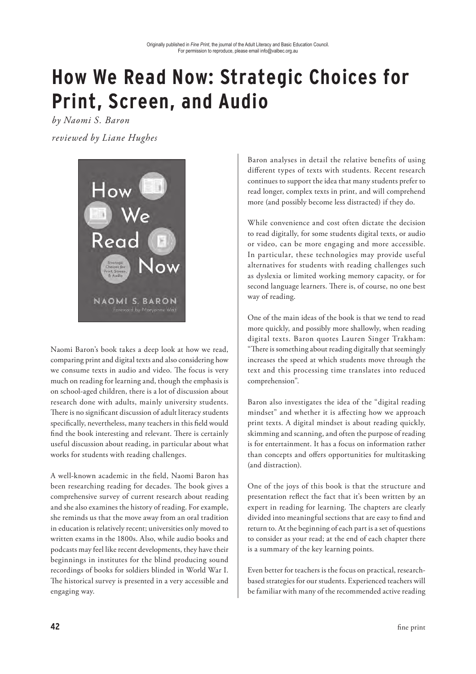# **How We Read Now: Strategic Choices for Print, Screen, and Audio**

*by Naomi S. Baron reviewed by Liane Hughes*



Naomi Baron's book takes a deep look at how we read, comparing print and digital texts and also considering how we consume texts in audio and video. The focus is very much on reading for learning and, though the emphasis is on school-aged children, there is a lot of discussion about research done with adults, mainly university students. There is no significant discussion of adult literacy students specifically, nevertheless, many teachers in this field would find the book interesting and relevant. There is certainly useful discussion about reading, in particular about what works for students with reading challenges.

A well-known academic in the field, Naomi Baron has been researching reading for decades. The book gives a comprehensive survey of current research about reading and she also examines the history of reading. For example, she reminds us that the move away from an oral tradition in education is relatively recent; universities only moved to written exams in the 1800s. Also, while audio books and podcasts may feel like recent developments, they have their beginnings in institutes for the blind producing sound recordings of books for soldiers blinded in World War I. The historical survey is presented in a very accessible and engaging way.

Baron analyses in detail the relative benefits of using different types of texts with students. Recent research continues to support the idea that many students prefer to read longer, complex texts in print, and will comprehend more (and possibly become less distracted) if they do.

While convenience and cost often dictate the decision to read digitally, for some students digital texts, or audio or video, can be more engaging and more accessible. In particular, these technologies may provide useful alternatives for students with reading challenges such as dyslexia or limited working memory capacity, or for second language learners. There is, of course, no one best way of reading.

One of the main ideas of the book is that we tend to read more quickly, and possibly more shallowly, when reading digital texts. Baron quotes Lauren Singer Trakham: "There is something about reading digitally that seemingly increases the speed at which students move through the text and this processing time translates into reduced comprehension".

Baron also investigates the idea of the "digital reading mindset" and whether it is affecting how we approach print texts. A digital mindset is about reading quickly, skimming and scanning, and often the purpose of reading is for entertainment. It has a focus on information rather than concepts and offers opportunities for multitasking (and distraction).

One of the joys of this book is that the structure and presentation reflect the fact that it's been written by an expert in reading for learning. The chapters are clearly divided into meaningful sections that are easy to find and return to. At the beginning of each part is a set of questions to consider as your read; at the end of each chapter there is a summary of the key learning points.

Even better for teachers is the focus on practical, researchbased strategies for our students. Experienced teachers will be familiar with many of the recommended active reading